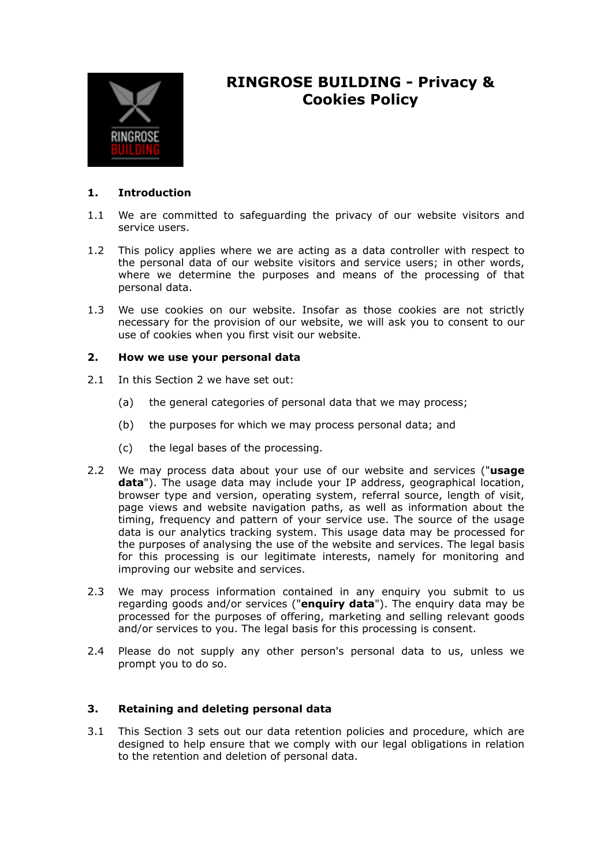

# **RINGROSE BUILDING - Privacy & Cookies Policy**

# **1. Introduction**

- 1.1 We are committed to safeguarding the privacy of our website visitors and service users.
- 1.2 This policy applies where we are acting as a data controller with respect to the personal data of our website visitors and service users; in other words, where we determine the purposes and means of the processing of that personal data.
- 1.3 We use cookies on our website. Insofar as those cookies are not strictly necessary for the provision of our website, we will ask you to consent to our use of cookies when you first visit our website.

# **2. How we use your personal data**

- 2.1 In this Section 2 we have set out:
	- (a) the general categories of personal data that we may process;
	- (b) the purposes for which we may process personal data; and
	- (c) the legal bases of the processing.
- 2.2 We may process data about your use of our website and services ("**usage data**"). The usage data may include your IP address, geographical location, browser type and version, operating system, referral source, length of visit, page views and website navigation paths, as well as information about the timing, frequency and pattern of your service use. The source of the usage data is our analytics tracking system. This usage data may be processed for the purposes of analysing the use of the website and services. The legal basis for this processing is our legitimate interests, namely for monitoring and improving our website and services.
- 2.3 We may process information contained in any enquiry you submit to us regarding goods and/or services ("**enquiry data**"). The enquiry data may be processed for the purposes of offering, marketing and selling relevant goods and/or services to you. The legal basis for this processing is consent.
- 2.4 Please do not supply any other person's personal data to us, unless we prompt you to do so.

# **3. Retaining and deleting personal data**

3.1 This Section 3 sets out our data retention policies and procedure, which are designed to help ensure that we comply with our legal obligations in relation to the retention and deletion of personal data.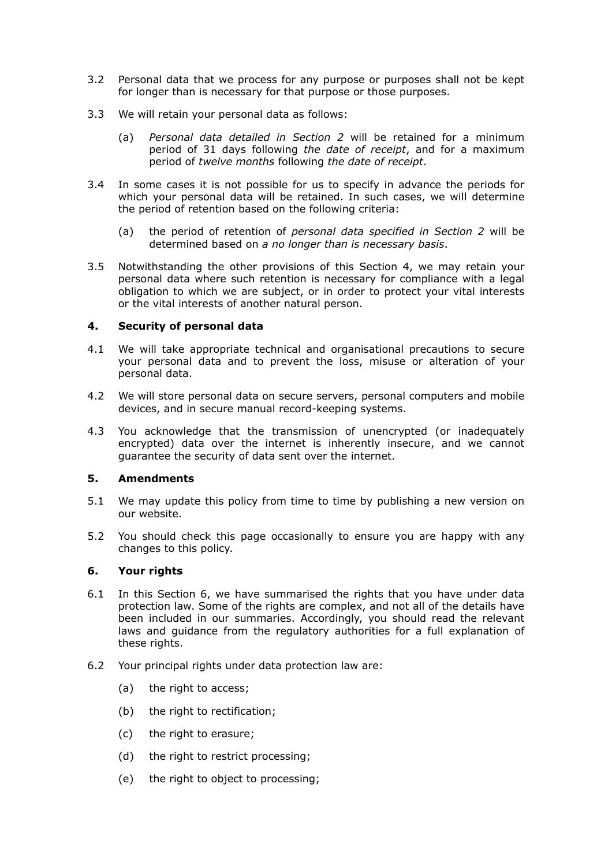- 3.2 Personal data that we process for any purpose or purposes shall not be kept for longer than is necessary for that purpose or those purposes.
- 3.3 We will retain your personal data as follows:
	- (a) *Personal data detailed in Section 2* will be retained for a minimum period of 31 days following *the date of receipt*, and for a maximum period of *twelve months* following *the date of receipt*.
- 3.4 In some cases it is not possible for us to specify in advance the periods for which your personal data will be retained. In such cases, we will determine the period of retention based on the following criteria:
	- (a) the period of retention of *personal data specified in Section 2* will be determined based on *a no longer than is necessary basis*.
- 3.5 Notwithstanding the other provisions of this Section 4, we may retain your personal data where such retention is necessary for compliance with a legal obligation to which we are subject, or in order to protect your vital interests or the vital interests of another natural person.

# **4. Security of personal data**

- 4.1 We will take appropriate technical and organisational precautions to secure your personal data and to prevent the loss, misuse or alteration of your personal data.
- 4.2 We will store personal data on secure servers, personal computers and mobile devices, and in secure manual record-keeping systems.
- 4.3 You acknowledge that the transmission of unencrypted (or inadequately encrypted) data over the internet is inherently insecure, and we cannot guarantee the security of data sent over the internet.

# **5. Amendments**

- 5.1 We may update this policy from time to time by publishing a new version on our website.
- 5.2 You should check this page occasionally to ensure you are happy with any changes to this policy.

# **6. Your rights**

- 6.1 In this Section 6, we have summarised the rights that you have under data protection law. Some of the rights are complex, and not all of the details have been included in our summaries. Accordingly, you should read the relevant laws and guidance from the regulatory authorities for a full explanation of these rights.
- 6.2 Your principal rights under data protection law are:
	- (a) the right to access;
	- (b) the right to rectification;
	- (c) the right to erasure;
	- (d) the right to restrict processing;
	- (e) the right to object to processing;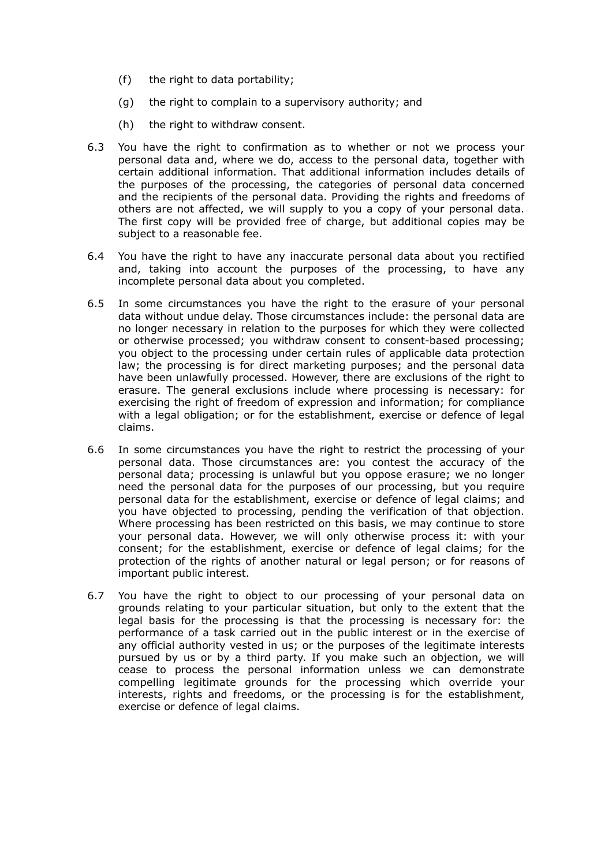- (f) the right to data portability;
- (g) the right to complain to a supervisory authority; and
- (h) the right to withdraw consent.
- 6.3 You have the right to confirmation as to whether or not we process your personal data and, where we do, access to the personal data, together with certain additional information. That additional information includes details of the purposes of the processing, the categories of personal data concerned and the recipients of the personal data. Providing the rights and freedoms of others are not affected, we will supply to you a copy of your personal data. The first copy will be provided free of charge, but additional copies may be subject to a reasonable fee.
- 6.4 You have the right to have any inaccurate personal data about you rectified and, taking into account the purposes of the processing, to have any incomplete personal data about you completed.
- 6.5 In some circumstances you have the right to the erasure of your personal data without undue delay. Those circumstances include: the personal data are no longer necessary in relation to the purposes for which they were collected or otherwise processed; you withdraw consent to consent-based processing; you object to the processing under certain rules of applicable data protection law; the processing is for direct marketing purposes; and the personal data have been unlawfully processed. However, there are exclusions of the right to erasure. The general exclusions include where processing is necessary: for exercising the right of freedom of expression and information; for compliance with a legal obligation; or for the establishment, exercise or defence of legal claims.
- 6.6 In some circumstances you have the right to restrict the processing of your personal data. Those circumstances are: you contest the accuracy of the personal data; processing is unlawful but you oppose erasure; we no longer need the personal data for the purposes of our processing, but you require personal data for the establishment, exercise or defence of legal claims; and you have objected to processing, pending the verification of that objection. Where processing has been restricted on this basis, we may continue to store your personal data. However, we will only otherwise process it: with your consent; for the establishment, exercise or defence of legal claims; for the protection of the rights of another natural or legal person; or for reasons of important public interest.
- 6.7 You have the right to object to our processing of your personal data on grounds relating to your particular situation, but only to the extent that the legal basis for the processing is that the processing is necessary for: the performance of a task carried out in the public interest or in the exercise of any official authority vested in us; or the purposes of the legitimate interests pursued by us or by a third party. If you make such an objection, we will cease to process the personal information unless we can demonstrate compelling legitimate grounds for the processing which override your interests, rights and freedoms, or the processing is for the establishment, exercise or defence of legal claims.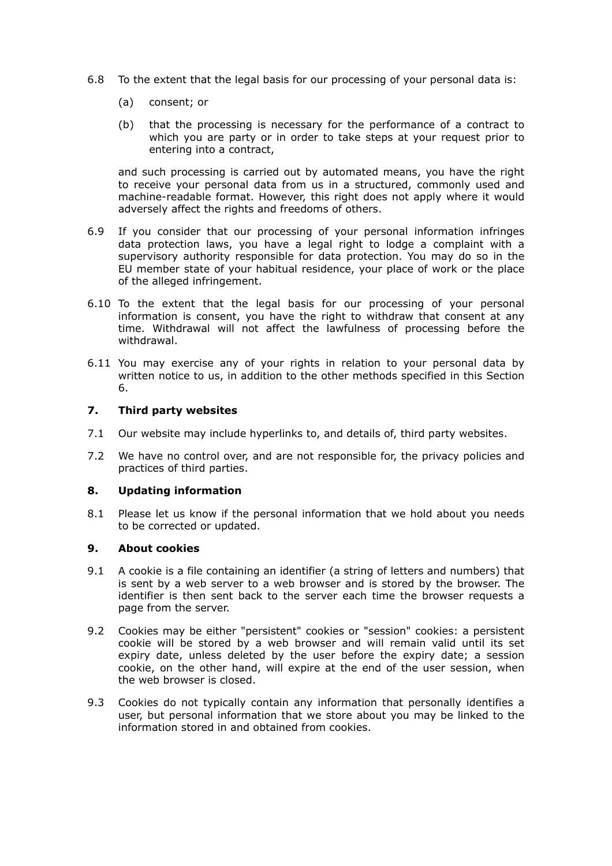- 6.8 To the extent that the legal basis for our processing of your personal data is:
	- (a) consent; or
	- (b) that the processing is necessary for the performance of a contract to which you are party or in order to take steps at your request prior to entering into a contract,

 and such processing is carried out by automated means, you have the right to receive your personal data from us in a structured, commonly used and machine-readable format. However, this right does not apply where it would adversely affect the rights and freedoms of others.

- 6.9 If you consider that our processing of your personal information infringes data protection laws, you have a legal right to lodge a complaint with a supervisory authority responsible for data protection. You may do so in the EU member state of your habitual residence, your place of work or the place of the alleged infringement.
- 6.10 To the extent that the legal basis for our processing of your personal information is consent, you have the right to withdraw that consent at any time. Withdrawal will not affect the lawfulness of processing before the withdrawal.
- 6.11 You may exercise any of your rights in relation to your personal data by written notice to us, in addition to the other methods specified in this Section 6.

#### **7. Third party websites**

- 7.1 Our website may include hyperlinks to, and details of, third party websites.
- 7.2 We have no control over, and are not responsible for, the privacy policies and practices of third parties.

# **8. Updating information**

8.1 Please let us know if the personal information that we hold about you needs to be corrected or updated.

#### **9. About cookies**

- 9.1 A cookie is a file containing an identifier (a string of letters and numbers) that is sent by a web server to a web browser and is stored by the browser. The identifier is then sent back to the server each time the browser requests a page from the server.
- 9.2 Cookies may be either "persistent" cookies or "session" cookies: a persistent cookie will be stored by a web browser and will remain valid until its set expiry date, unless deleted by the user before the expiry date; a session cookie, on the other hand, will expire at the end of the user session, when the web browser is closed.
- 9.3 Cookies do not typically contain any information that personally identifies a user, but personal information that we store about you may be linked to the information stored in and obtained from cookies.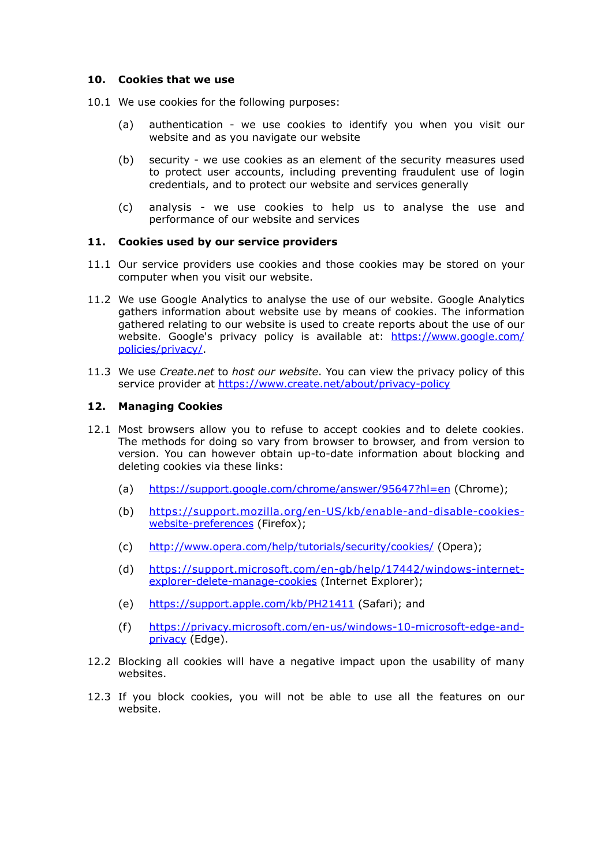#### **10. Cookies that we use**

- 10.1 We use cookies for the following purposes:
	- (a) authentication we use cookies to identify you when you visit our website and as you navigate our website
	- (b) security we use cookies as an element of the security measures used to protect user accounts, including preventing fraudulent use of login credentials, and to protect our website and services generally
	- (c) analysis we use cookies to help us to analyse the use and performance of our website and services

#### **11. Cookies used by our service providers**

- 11.1 Our service providers use cookies and those cookies may be stored on your computer when you visit our website.
- 11.2 We use Google Analytics to analyse the use of our website. Google Analytics gathers information about website use by means of cookies. The information gathered relating to our website is used to create reports about the use of our [website. Google's privacy policy is available at: https://www.google.com/](https://www.google.com/policies/privacy/) policies/privacy/.
- 11.3 We use *Create.net* to *host our website*. You can view the privacy policy of this service provider at<https://www.create.net/about/privacy-policy>

#### **12. Managing Cookies**

- 12.1 Most browsers allow you to refuse to accept cookies and to delete cookies. The methods for doing so vary from browser to browser, and from version to version. You can however obtain up-to-date information about blocking and deleting cookies via these links:
	- (a) <https://support.google.com/chrome/answer/95647?hl=en> (Chrome);
	- (b) [https://support.mozilla.org/en-US/kb/enable-and-disable-cookies](https://support.mozilla.org/en-US/kb/enable-and-disable-cookies-website-preferences)website-preferences (Firefox);
	- (c) <http://www.opera.com/help/tutorials/security/cookies/>(Opera);
	- (d) [https://support.microsoft.com/en-gb/help/17442/windows-internet](https://support.microsoft.com/en-gb/help/17442/windows-internet-explorer-delete-manage-cookies)explorer-delete-manage-cookies (Internet Explorer);
	- (e) <https://support.apple.com/kb/PH21411>(Safari); and
	- (f) [https://privacy.microsoft.com/en-us/windows-10-microsoft-edge-and](https://privacy.microsoft.com/en-us/windows-10-microsoft-edge-and-privacy)privacy (Edge).
- 12.2 Blocking all cookies will have a negative impact upon the usability of many websites.
- 12.3 If you block cookies, you will not be able to use all the features on our website.